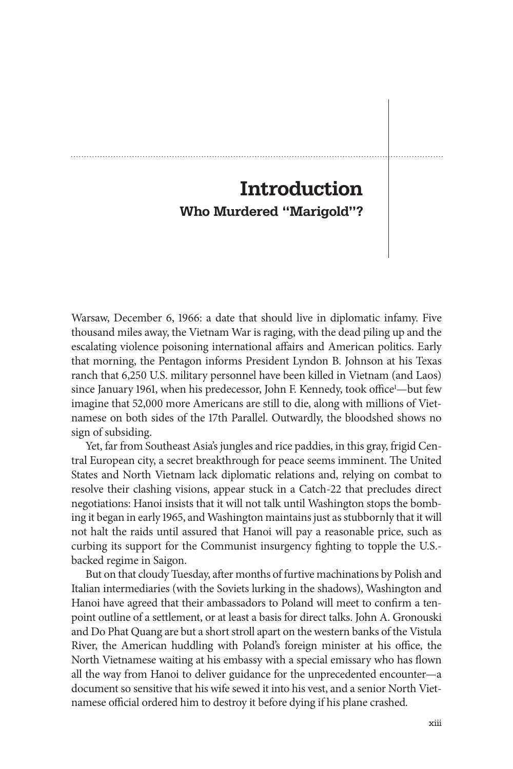## **Introduction Who Murdered "Marigold"?**

Warsaw, December 6, 1966: a date that should live in diplomatic infamy. Five thousand miles away, the Vietnam War is raging, with the dead piling up and the escalating violence poisoning international affairs and American politics. Early that morning, the Pentagon informs President Lyndon B. Johnson at his Texas ranch that 6,250 U.S. military personnel have been killed in Vietnam (and Laos) since January 1961, when his predecessor, John F. Kennedy, took office<sup>1</sup>—but few imagine that 52,000 more Americans are still to die, along with millions of Vietnamese on both sides of the 17th Parallel. Outwardly, the bloodshed shows no sign of subsiding.

 Yet, far from Southeast Asia's jungles and rice paddies, in this gray, frigid Central European city, a secret breakthrough for peace seems imminent. The United States and North Vietnam lack diplomatic relations and, relying on combat to resolve their clashing visions, appear stuck in a Catch-22 that precludes direct negotiations: Hanoi insists that it will not talk until Washington stops the bombing it began in early 1965, and Washington maintains just as stubbornly that it will not halt the raids until assured that Hanoi will pay a reasonable price, such as curbing its support for the Communist insurgency fighting to topple the U.S.backed regime in Saigon.

But on that cloudy Tuesday, after months of furtive machinations by Polish and Italian intermediaries (with the Soviets lurking in the shadows), Washington and Hanoi have agreed that their ambassadors to Poland will meet to confirm a tenpoint outline of a settlement, or at least a basis for direct talks. John A. Gronouski and Do Phat Quang are but a short stroll apart on the western banks of the Vistula River, the American huddling with Poland's foreign minister at his office, the North Vietnamese waiting at his embassy with a special emissary who has flown all the way from Hanoi to deliver guidance for the unprecedented encounter—a document so sensitive that his wife sewed it into his vest, and a senior North Vietnamese official ordered him to destroy it before dying if his plane crashed.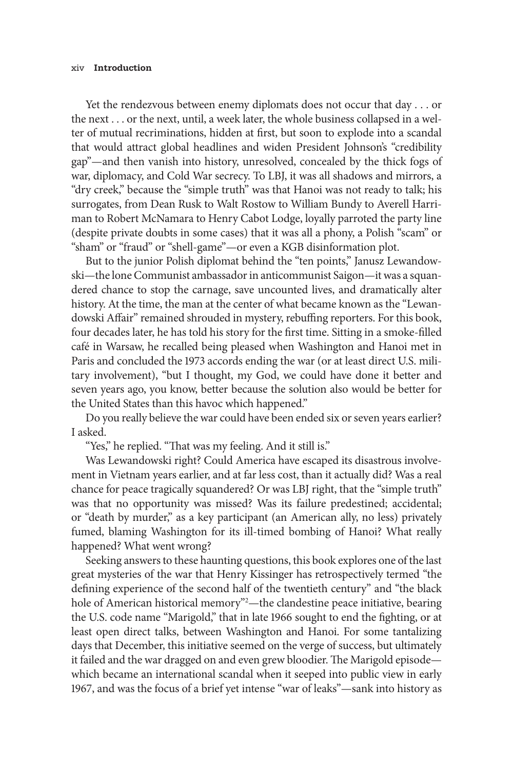## xiv **Introduction**

 Yet the rendezvous between enemy diplomats does not occur that day . . . or the next . . . or the next, until, a week later, the whole business collapsed in a welter of mutual recriminations, hidden at first, but soon to explode into a scandal that would attract global headlines and widen President Johnson's "credibility gap"—and then vanish into history, unresolved, concealed by the thick fogs of war, diplomacy, and Cold War secrecy. To LBJ, it was all shadows and mirrors, a "dry creek," because the "simple truth" was that Hanoi was not ready to talk; his surrogates, from Dean Rusk to Walt Rostow to William Bundy to Averell Harriman to Robert McNamara to Henry Cabot Lodge, loyally parroted the party line (despite private doubts in some cases) that it was all a phony, a Polish "scam" or "sham" or "fraud" or "shell-game"—or even a KGB disinformation plot.

 But to the junior Polish diplomat behind the "ten points," Janusz Lewandowski—the lone Communist ambassador in anticommunist Saigon—it was a squandered chance to stop the carnage, save uncounted lives, and dramatically alter history. At the time, the man at the center of what became known as the "Lewandowski Affair" remained shrouded in mystery, rebuffing reporters. For this book, four decades later, he has told his story for the first time. Sitting in a smoke-filled café in Warsaw, he recalled being pleased when Washington and Hanoi met in Paris and concluded the 1973 accords ending the war (or at least direct U.S. military involvement), "but I thought, my God, we could have done it better and seven years ago, you know, better because the solution also would be better for the United States than this havoc which happened."

 Do you really believe the war could have been ended six or seven years earlier? I asked.

"Yes," he replied. "That was my feeling. And it still is."

 Was Lewandowski right? Could America have escaped its disastrous involvement in Vietnam years earlier, and at far less cost, than it actually did? Was a real chance for peace tragically squandered? Or was LBJ right, that the "simple truth" was that no opportunity was missed? Was its failure predestined; accidental; or "death by murder," as a key participant (an American ally, no less) privately fumed, blaming Washington for its ill-timed bombing of Hanoi? What really happened? What went wrong?

 Seeking answers to these haunting questions, this book explores one of the last great mysteries of the war that Henry Kissinger has retrospectively termed "the defining experience of the second half of the twentieth century" and "the black hole of American historical memory"<sup>2</sup>—the clandestine peace initiative, bearing the U.S. code name "Marigold," that in late 1966 sought to end the fighting, or at least open direct talks, between Washington and Hanoi. For some tantalizing days that December, this initiative seemed on the verge of success, but ultimately it failed and the war dragged on and even grew bloodier. The Marigold episodewhich became an international scandal when it seeped into public view in early 1967, and was the focus of a brief yet intense "war of leaks"—sank into history as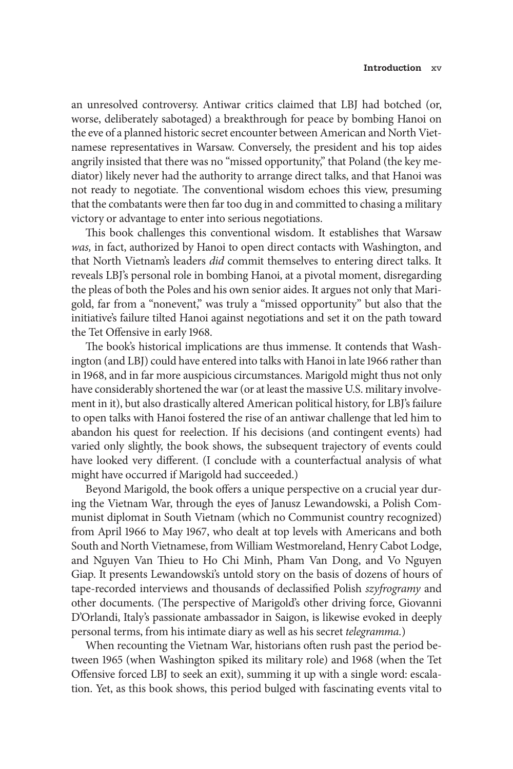an unresolved controversy. Antiwar critics claimed that LBJ had botched (or, worse, deliberately sabotaged) a breakthrough for peace by bombing Hanoi on the eve of a planned historic secret encounter between American and North Vietnamese representatives in Warsaw. Conversely, the president and his top aides angrily insisted that there was no "missed opportunity," that Poland (the key mediator) likely never had the authority to arrange direct talks, and that Hanoi was not ready to negotiate. The conventional wisdom echoes this view, presuming that the combatants were then far too dug in and committed to chasing a military victory or advantage to enter into serious negotiations.

This book challenges this conventional wisdom. It establishes that Warsaw *was,* in fact, authorized by Hanoi to open direct contacts with Washington, and that North Vietnam's leaders *did* commit themselves to entering direct talks. It reveals LBJ's personal role in bombing Hanoi, at a pivotal moment, disregarding the pleas of both the Poles and his own senior aides. It argues not only that Marigold, far from a "nonevent," was truly a "missed opportunity" but also that the initiative's failure tilted Hanoi against negotiations and set it on the path toward the Tet Offensive in early 1968.

The book's historical implications are thus immense. It contends that Washington (and LBJ) could have entered into talks with Hanoi in late 1966 rather than in 1968, and in far more auspicious circumstances. Marigold might thus not only have considerably shortened the war (or at least the massive U.S. military involvement in it), but also drastically altered American political history, for LBJ's failure to open talks with Hanoi fostered the rise of an antiwar challenge that led him to abandon his quest for reelection. If his decisions (and contingent events) had varied only slightly, the book shows, the subsequent trajectory of events could have looked very different. (I conclude with a counterfactual analysis of what might have occurred if Marigold had succeeded.)

Beyond Marigold, the book offers a unique perspective on a crucial year during the Vietnam War, through the eyes of Janusz Lewandowski, a Polish Communist diplomat in South Vietnam (which no Communist country recognized) from April 1966 to May 1967, who dealt at top levels with Americans and both South and North Vietnamese, from William Westmoreland, Henry Cabot Lodge, and Nguyen Van Thieu to Ho Chi Minh, Pham Van Dong, and Vo Nguyen Giap. It presents Lewandowski's untold story on the basis of dozens of hours of tape-recorded interviews and thousands of declassified Polish *szyfrogramy* and other documents. (The perspective of Marigold's other driving force, Giovanni D'Orlandi, Italy's passionate ambassador in Saigon, is likewise evoked in deeply personal terms, from his intimate diary as well as his secret *telegramma.*)

When recounting the Vietnam War, historians often rush past the period between 1965 (when Washington spiked its military role) and 1968 (when the Tet Offensive forced LBJ to seek an exit), summing it up with a single word: escalation. Yet, as this book shows, this period bulged with fascinating events vital to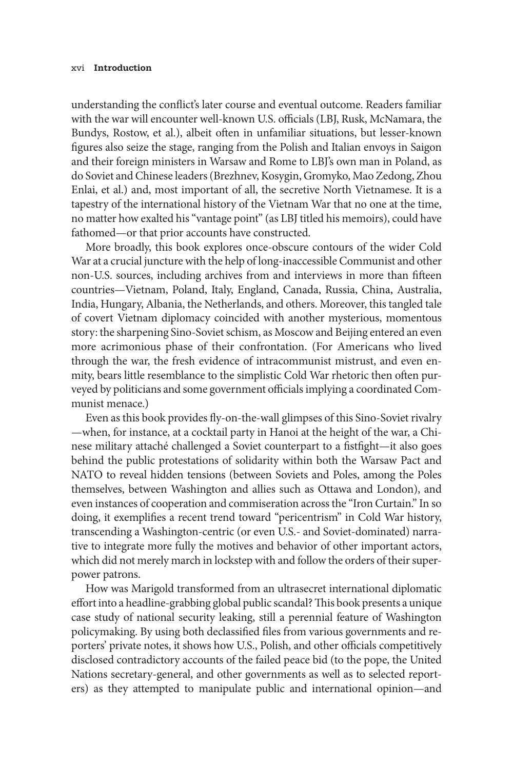## xvi **Introduction**

understanding the conflict's later course and eventual outcome. Readers familiar with the war will encounter well-known U.S. officials (LBJ, Rusk, McNamara, the Bundys, Rostow, et al.), albeit often in unfamiliar situations, but lesser-known figures also seize the stage, ranging from the Polish and Italian envoys in Saigon and their foreign ministers in Warsaw and Rome to LBJ's own man in Poland, as do Soviet and Chinese leaders (Brezhnev, Kosygin, Gromyko, Mao Zedong, Zhou Enlai, et al.) and, most important of all, the secretive North Vietnamese. It is a tapestry of the international history of the Vietnam War that no one at the time, no matter how exalted his "vantage point" (as LBJ titled his memoirs), could have fathomed—or that prior accounts have constructed.

 More broadly, this book explores once-obscure contours of the wider Cold War at a crucial juncture with the help of long-inaccessible Communist and other non-U.S. sources, including archives from and interviews in more than fifteen countries—Vietnam, Poland, Italy, England, Canada, Russia, China, Australia, India, Hungary, Albania, the Netherlands, and others. Moreover, this tangled tale of covert Vietnam diplomacy coincided with another mysterious, momentous story: the sharpening Sino-Soviet schism, as Moscow and Beijing entered an even more acrimonious phase of their confrontation. (For Americans who lived through the war, the fresh evidence of intracommunist mistrust, and even enmity, bears little resemblance to the simplistic Cold War rhetoric then often purveyed by politicians and some government officials implying a coordinated Communist menace.)

Even as this book provides fly-on-the-wall glimpses of this Sino-Soviet rivalry —when, for instance, at a cocktail party in Hanoi at the height of the war, a Chinese military attaché challenged a Soviet counterpart to a fistfight-it also goes behind the public protestations of solidarity within both the Warsaw Pact and NATO to reveal hidden tensions (between Soviets and Poles, among the Poles themselves, between Washington and allies such as Ottawa and London), and even instances of cooperation and commiseration across the "Iron Curtain." In so doing, it exemplifies a recent trend toward "pericentrism" in Cold War history, transcending a Washington-centric (or even U.S.- and Soviet-dominated) narrative to integrate more fully the motives and behavior of other important actors, which did not merely march in lockstep with and follow the orders of their superpower patrons.

 How was Marigold transformed from an ultrasecret international diplomatic effort into a headline-grabbing global public scandal? This book presents a unique case study of national security leaking, still a perennial feature of Washington policymaking. By using both declassified files from various governments and reporters' private notes, it shows how U.S., Polish, and other officials competitively disclosed contradictory accounts of the failed peace bid (to the pope, the United Nations secretary-general, and other governments as well as to selected reporters) as they attempted to manipulate public and international opinion—and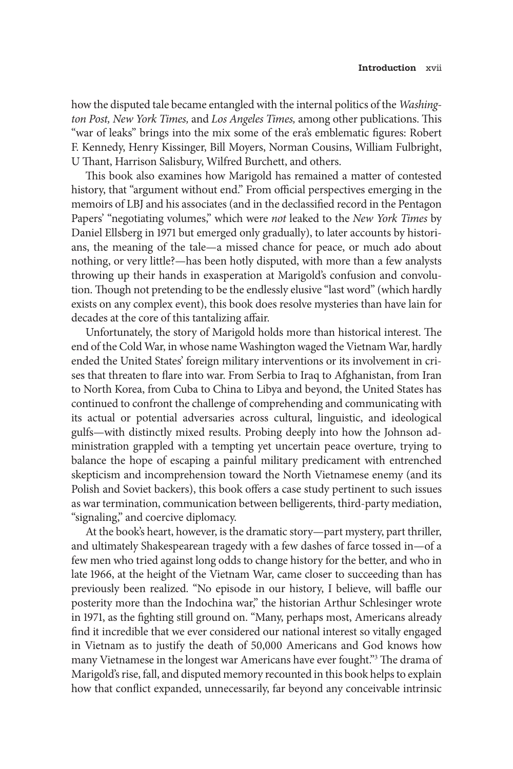how the disputed tale became entangled with the internal politics of the *Washing*ton Post, New York Times, and Los Angeles Times, among other publications. This "war of leaks" brings into the mix some of the era's emblematic figures: Robert F. Kennedy, Henry Kissinger, Bill Moyers, Norman Cousins, William Fulbright, U Thant, Harrison Salisbury, Wilfred Burchett, and others.

This book also examines how Marigold has remained a matter of contested history, that "argument without end." From official perspectives emerging in the memoirs of LBJ and his associates (and in the declassified record in the Pentagon Papers' "negotiating volumes," which were *not* leaked to the *New York Times* by Daniel Ellsberg in 1971 but emerged only gradually), to later accounts by historians, the meaning of the tale—a missed chance for peace, or much ado about nothing, or very little?—has been hotly disputed, with more than a few analysts throwing up their hands in exasperation at Marigold's confusion and convolution. Though not pretending to be the endlessly elusive "last word" (which hardly exists on any complex event), this book does resolve mysteries than have lain for decades at the core of this tantalizing affair.

Unfortunately, the story of Marigold holds more than historical interest. The end of the Cold War, in whose name Washington waged the Vietnam War, hardly ended the United States' foreign military interventions or its involvement in crises that threaten to flare into war. From Serbia to Iraq to Afghanistan, from Iran to North Korea, from Cuba to China to Libya and beyond, the United States has continued to confront the challenge of comprehending and communicating with its actual or potential adversaries across cultural, linguistic, and ideological gulfs—with distinctly mixed results. Probing deeply into how the Johnson administration grappled with a tempting yet uncertain peace overture, trying to balance the hope of escaping a painful military predicament with entrenched skepticism and incomprehension toward the North Vietnamese enemy (and its Polish and Soviet backers), this book offers a case study pertinent to such issues as war termination, communication between belligerents, third-party mediation, "signaling," and coercive diplomacy.

 At the book's heart, however, is the dramatic story—part mystery, part thriller, and ultimately Shakespearean tragedy with a few dashes of farce tossed in—of a few men who tried against long odds to change history for the better, and who in late 1966, at the height of the Vietnam War, came closer to succeeding than has previously been realized. "No episode in our history, I believe, will baffle our posterity more than the Indochina war," the historian Arthur Schlesinger wrote in 1971, as the fighting still ground on. "Many, perhaps most, Americans already find it incredible that we ever considered our national interest so vitally engaged in Vietnam as to justify the death of 50,000 Americans and God knows how many Vietnamese in the longest war Americans have ever fought."<sup>3</sup> The drama of Marigold's rise, fall, and disputed memory recounted in this book helps to explain how that conflict expanded, unnecessarily, far beyond any conceivable intrinsic